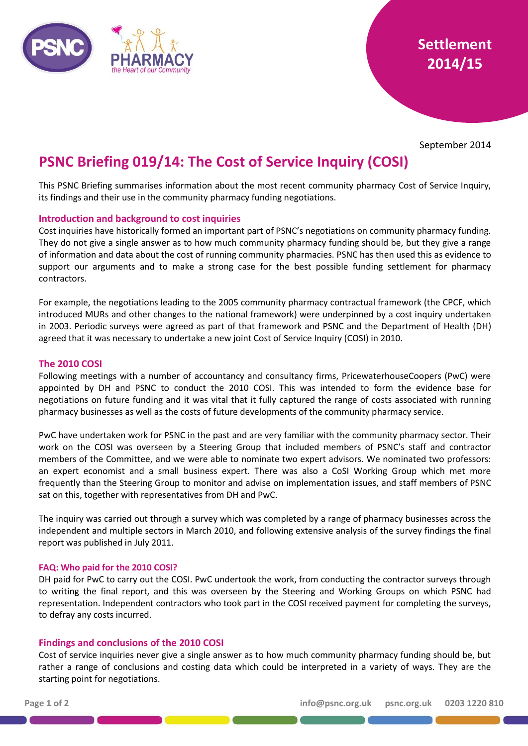

September 2014

# **PSNC Briefing 019/14: The Cost of Service Inquiry (COSI)**

This PSNC Briefing summarises information about the most recent community pharmacy Cost of Service Inquiry, its findings and their use in the community pharmacy funding negotiations.

## **Introduction and background to cost inquiries**

Cost inquiries have historically formed an important part of PSNC's negotiations on community pharmacy funding. They do not give a single answer as to how much community pharmacy funding should be, but they give a range of information and data about the cost of running community pharmacies. PSNC has then used this as evidence to support our arguments and to make a strong case for the best possible funding settlement for pharmacy contractors.

For example, the negotiations leading to the 2005 community pharmacy contractual framework (the CPCF, which introduced MURs and other changes to the national framework) were underpinned by a cost inquiry undertaken in 2003. Periodic surveys were agreed as part of that framework and PSNC and the Department of Health (DH) agreed that it was necessary to undertake a new joint Cost of Service Inquiry (COSI) in 2010.

### **The 2010 COSI**

Following meetings with a number of accountancy and consultancy firms, PricewaterhouseCoopers (PwC) were appointed by DH and PSNC to conduct the 2010 COSI. This was intended to form the evidence base for negotiations on future funding and it was vital that it fully captured the range of costs associated with running pharmacy businesses as well as the costs of future developments of the community pharmacy service.

PwC have undertaken work for PSNC in the past and are very familiar with the community pharmacy sector. Their work on the COSI was overseen by a Steering Group that included members of PSNC's staff and contractor members of the Committee, and we were able to nominate two expert advisors. We nominated two professors: an expert economist and a small business expert. There was also a CoSI Working Group which met more frequently than the Steering Group to monitor and advise on implementation issues, and staff members of PSNC sat on this, together with representatives from DH and PwC.

The inquiry was carried out through a survey which was completed by a range of pharmacy businesses across the independent and multiple sectors in March 2010, and following extensive analysis of the survey findings the final report was published in July 2011.

### **FAQ: Who paid for the 2010 COSI?**

DH paid for PwC to carry out the COSI. PwC undertook the work, from conducting the contractor surveys through to writing the final report, and this was overseen by the Steering and Working Groups on which PSNC had representation. Independent contractors who took part in the COSI received payment for completing the surveys, to defray any costs incurred.

### **Findings and conclusions of the 2010 COSI**

Cost of service inquiries never give a single answer as to how much community pharmacy funding should be, but rather a range of conclusions and costing data which could be interpreted in a variety of ways. They are the starting point for negotiations.